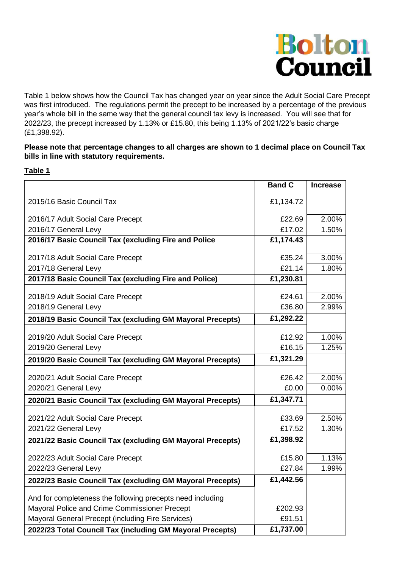

Table 1 below shows how the Council Tax has changed year on year since the Adult Social Care Precept was first introduced. The regulations permit the precept to be increased by a percentage of the previous year's whole bill in the same way that the general council tax levy is increased. You will see that for 2022/23, the precept increased by 1.13% or £15.80, this being 1.13% of 2021/22's basic charge (£1,398.92).

## **Please note that percentage changes to all charges are shown to 1 decimal place on Council Tax bills in line with statutory requirements.**

## **Table 1**

|                                                            | <b>Band C</b> | <b>Increase</b> |
|------------------------------------------------------------|---------------|-----------------|
| 2015/16 Basic Council Tax                                  | £1,134.72     |                 |
| 2016/17 Adult Social Care Precept                          | £22.69        | 2.00%           |
| 2016/17 General Levy                                       | £17.02        | 1.50%           |
| 2016/17 Basic Council Tax (excluding Fire and Police       | £1,174.43     |                 |
| 2017/18 Adult Social Care Precept                          | £35.24        | 3.00%           |
| 2017/18 General Levy                                       | £21.14        | 1.80%           |
| 2017/18 Basic Council Tax (excluding Fire and Police)      | £1,230.81     |                 |
| 2018/19 Adult Social Care Precept                          | £24.61        | 2.00%           |
| 2018/19 General Levy                                       | £36.80        | 2.99%           |
| 2018/19 Basic Council Tax (excluding GM Mayoral Precepts)  | £1,292.22     |                 |
|                                                            |               |                 |
| 2019/20 Adult Social Care Precept                          | £12.92        | 1.00%           |
| 2019/20 General Levy                                       | £16.15        | 1.25%           |
| 2019/20 Basic Council Tax (excluding GM Mayoral Precepts)  | £1,321.29     |                 |
| 2020/21 Adult Social Care Precept                          | £26.42        | 2.00%           |
| 2020/21 General Levy                                       | £0.00         | 0.00%           |
| 2020/21 Basic Council Tax (excluding GM Mayoral Precepts)  | £1,347.71     |                 |
| 2021/22 Adult Social Care Precept                          | £33.69        | 2.50%           |
| 2021/22 General Levy                                       | £17.52        | 1.30%           |
| 2021/22 Basic Council Tax (excluding GM Mayoral Precepts)  | £1,398.92     |                 |
| 2022/23 Adult Social Care Precept                          | £15.80        | 1.13%           |
| 2022/23 General Levy                                       | £27.84        | 1.99%           |
|                                                            | £1,442.56     |                 |
| 2022/23 Basic Council Tax (excluding GM Mayoral Precepts)  |               |                 |
| And for completeness the following precepts need including |               |                 |
| Mayoral Police and Crime Commissioner Precept              | £202.93       |                 |
| Mayoral General Precept (including Fire Services)          | £91.51        |                 |
| 2022/23 Total Council Tax (including GM Mayoral Precepts)  | £1,737.00     |                 |